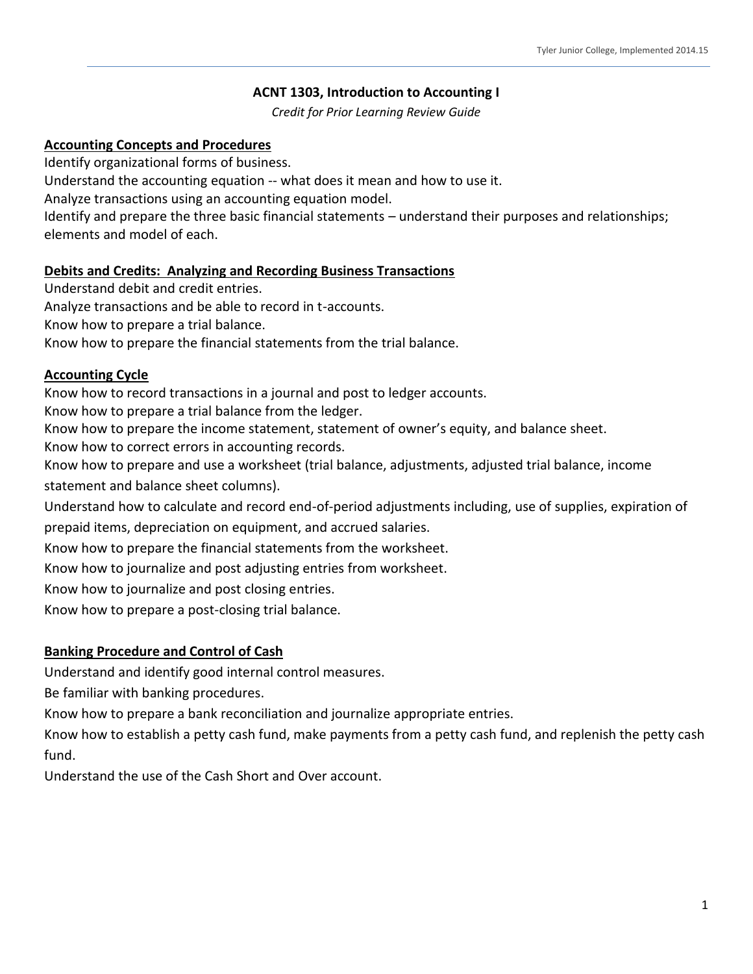# **ACNT 1303, Introduction to Accounting I**

*Credit for Prior Learning Review Guide*

## **Accounting Concepts and Procedures**

Identify organizational forms of business.

Understand the accounting equation -- what does it mean and how to use it.

Analyze transactions using an accounting equation model.

Identify and prepare the three basic financial statements – understand their purposes and relationships; elements and model of each.

## **Debits and Credits: Analyzing and Recording Business Transactions**

Understand debit and credit entries.

Analyze transactions and be able to record in t-accounts.

Know how to prepare a trial balance.

Know how to prepare the financial statements from the trial balance.

## **Accounting Cycle**

Know how to record transactions in a journal and post to ledger accounts.

Know how to prepare a trial balance from the ledger.

Know how to prepare the income statement, statement of owner's equity, and balance sheet.

Know how to correct errors in accounting records.

Know how to prepare and use a worksheet (trial balance, adjustments, adjusted trial balance, income

statement and balance sheet columns).

Understand how to calculate and record end-of-period adjustments including, use of supplies, expiration of

prepaid items, depreciation on equipment, and accrued salaries.

Know how to prepare the financial statements from the worksheet.

Know how to journalize and post adjusting entries from worksheet.

Know how to journalize and post closing entries.

Know how to prepare a post-closing trial balance.

# **Banking Procedure and Control of Cash**

Understand and identify good internal control measures.

Be familiar with banking procedures.

Know how to prepare a bank reconciliation and journalize appropriate entries.

Know how to establish a petty cash fund, make payments from a petty cash fund, and replenish the petty cash fund.

Understand the use of the Cash Short and Over account.